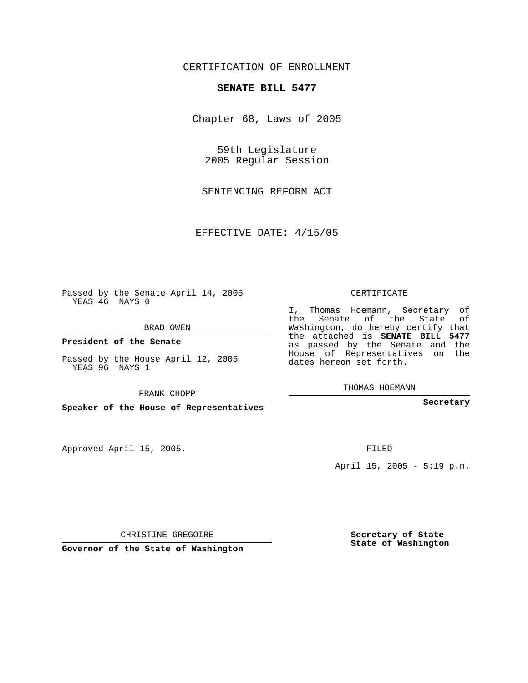## CERTIFICATION OF ENROLLMENT

## **SENATE BILL 5477**

Chapter 68, Laws of 2005

59th Legislature 2005 Regular Session

SENTENCING REFORM ACT

EFFECTIVE DATE: 4/15/05

Passed by the Senate April 14, 2005 YEAS 46 NAYS 0

BRAD OWEN

**President of the Senate**

Passed by the House April 12, 2005 YEAS 96 NAYS 1

FRANK CHOPP

**Speaker of the House of Representatives**

Approved April 15, 2005.

CERTIFICATE

I, Thomas Hoemann, Secretary of the Senate of the State of Washington, do hereby certify that the attached is **SENATE BILL 5477** as passed by the Senate and the House of Representatives on the dates hereon set forth.

THOMAS HOEMANN

**Secretary**

FILED

April 15, 2005 - 5:19 p.m.

CHRISTINE GREGOIRE

**Governor of the State of Washington**

**Secretary of State State of Washington**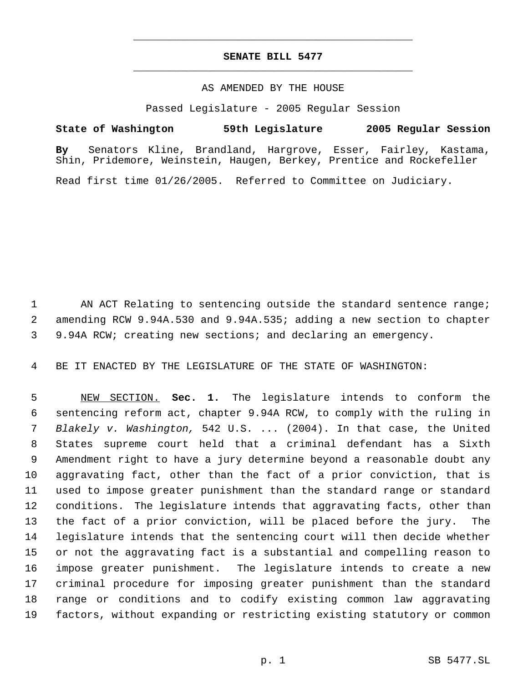## **SENATE BILL 5477** \_\_\_\_\_\_\_\_\_\_\_\_\_\_\_\_\_\_\_\_\_\_\_\_\_\_\_\_\_\_\_\_\_\_\_\_\_\_\_\_\_\_\_\_\_

\_\_\_\_\_\_\_\_\_\_\_\_\_\_\_\_\_\_\_\_\_\_\_\_\_\_\_\_\_\_\_\_\_\_\_\_\_\_\_\_\_\_\_\_\_

## AS AMENDED BY THE HOUSE

Passed Legislature - 2005 Regular Session

**State of Washington 59th Legislature 2005 Regular Session**

**By** Senators Kline, Brandland, Hargrove, Esser, Fairley, Kastama, Shin, Pridemore, Weinstein, Haugen, Berkey, Prentice and Rockefeller

Read first time 01/26/2005. Referred to Committee on Judiciary.

1 AN ACT Relating to sentencing outside the standard sentence range; amending RCW 9.94A.530 and 9.94A.535; adding a new section to chapter 9.94A RCW; creating new sections; and declaring an emergency.

BE IT ENACTED BY THE LEGISLATURE OF THE STATE OF WASHINGTON:

 NEW SECTION. **Sec. 1.** The legislature intends to conform the sentencing reform act, chapter 9.94A RCW, to comply with the ruling in *Blakely v. Washington,* 542 U.S. ... (2004). In that case, the United States supreme court held that a criminal defendant has a Sixth Amendment right to have a jury determine beyond a reasonable doubt any aggravating fact, other than the fact of a prior conviction, that is used to impose greater punishment than the standard range or standard conditions. The legislature intends that aggravating facts, other than the fact of a prior conviction, will be placed before the jury. The legislature intends that the sentencing court will then decide whether or not the aggravating fact is a substantial and compelling reason to impose greater punishment. The legislature intends to create a new criminal procedure for imposing greater punishment than the standard range or conditions and to codify existing common law aggravating factors, without expanding or restricting existing statutory or common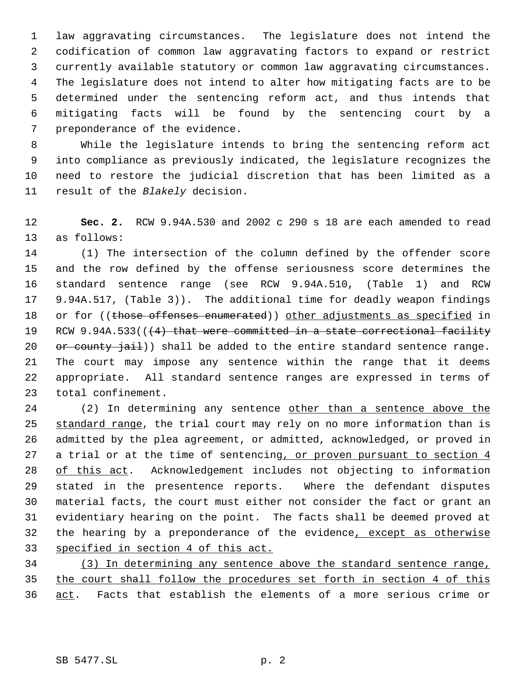law aggravating circumstances. The legislature does not intend the codification of common law aggravating factors to expand or restrict currently available statutory or common law aggravating circumstances. The legislature does not intend to alter how mitigating facts are to be determined under the sentencing reform act, and thus intends that mitigating facts will be found by the sentencing court by a preponderance of the evidence.

 While the legislature intends to bring the sentencing reform act into compliance as previously indicated, the legislature recognizes the need to restore the judicial discretion that has been limited as a result of the *Blakely* decision.

 **Sec. 2.** RCW 9.94A.530 and 2002 c 290 s 18 are each amended to read as follows:

 (1) The intersection of the column defined by the offender score and the row defined by the offense seriousness score determines the standard sentence range (see RCW 9.94A.510, (Table 1) and RCW 9.94A.517, (Table 3)). The additional time for deadly weapon findings 18 or for ((those offenses enumerated)) other adjustments as specified in 19 RCW 9.94A.533(( $(4)$  that were committed in a state correctional facility  $or$  county  $jail)$  shall be added to the entire standard sentence range. The court may impose any sentence within the range that it deems appropriate. All standard sentence ranges are expressed in terms of total confinement.

 (2) In determining any sentence other than a sentence above the 25 standard range, the trial court may rely on no more information than is admitted by the plea agreement, or admitted, acknowledged, or proved in 27 a trial or at the time of sentencing, or proven pursuant to section 4 28 of this act. Acknowledgement includes not objecting to information stated in the presentence reports. Where the defendant disputes material facts, the court must either not consider the fact or grant an evidentiary hearing on the point. The facts shall be deemed proved at 32 the hearing by a preponderance of the evidence, except as otherwise specified in section 4 of this act.

 (3) In determining any sentence above the standard sentence range, the court shall follow the procedures set forth in section 4 of this act. Facts that establish the elements of a more serious crime or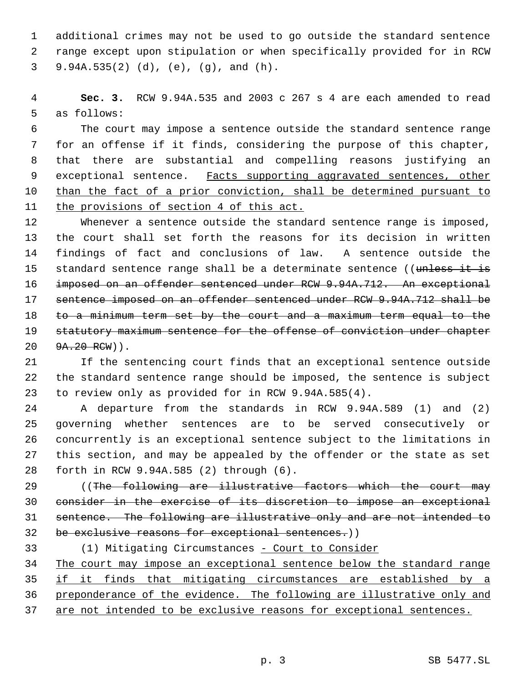additional crimes may not be used to go outside the standard sentence range except upon stipulation or when specifically provided for in RCW 9.94A.535(2) (d), (e), (g), and (h).

 **Sec. 3.** RCW 9.94A.535 and 2003 c 267 s 4 are each amended to read as follows:

 The court may impose a sentence outside the standard sentence range for an offense if it finds, considering the purpose of this chapter, that there are substantial and compelling reasons justifying an 9 exceptional sentence. Facts supporting aggravated sentences, other 10 than the fact of a prior conviction, shall be determined pursuant to the provisions of section 4 of this act.

 Whenever a sentence outside the standard sentence range is imposed, the court shall set forth the reasons for its decision in written findings of fact and conclusions of law. A sentence outside the 15 standard sentence range shall be a determinate sentence ((unless it is imposed on an offender sentenced under RCW 9.94A.712. An exceptional sentence imposed on an offender sentenced under RCW 9.94A.712 shall be 18 to a minimum term set by the court and a maximum term equal to the 19 statutory maximum sentence for the offense of conviction under chapter 20 9A.20 RCW)).

 If the sentencing court finds that an exceptional sentence outside the standard sentence range should be imposed, the sentence is subject to review only as provided for in RCW 9.94A.585(4).

 A departure from the standards in RCW 9.94A.589 (1) and (2) governing whether sentences are to be served consecutively or concurrently is an exceptional sentence subject to the limitations in this section, and may be appealed by the offender or the state as set forth in RCW 9.94A.585 (2) through (6).

29 ((The following are illustrative factors which the court may consider in the exercise of its discretion to impose an exceptional sentence. The following are illustrative only and are not intended to 32 be exclusive reasons for exceptional sentences.))

33 (1) Mitigating Circumstances - Court to Consider 34 The court may impose an exceptional sentence below the standard range if it finds that mitigating circumstances are established by a preponderance of the evidence. The following are illustrative only and 37 are not intended to be exclusive reasons for exceptional sentences.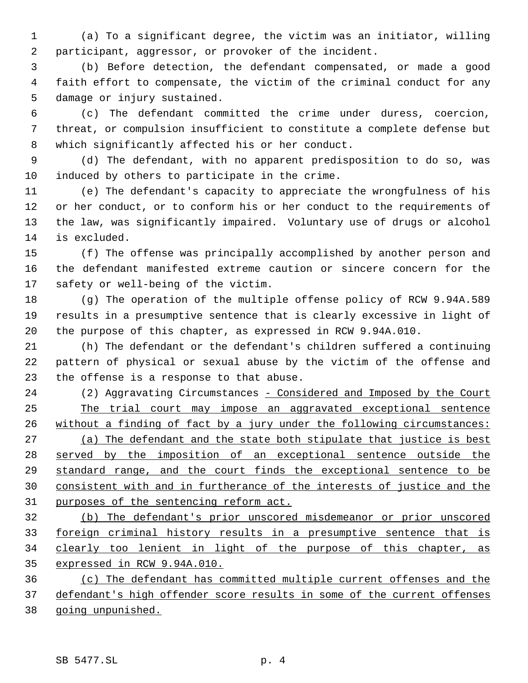(a) To a significant degree, the victim was an initiator, willing participant, aggressor, or provoker of the incident.

 (b) Before detection, the defendant compensated, or made a good faith effort to compensate, the victim of the criminal conduct for any damage or injury sustained.

 (c) The defendant committed the crime under duress, coercion, threat, or compulsion insufficient to constitute a complete defense but which significantly affected his or her conduct.

 (d) The defendant, with no apparent predisposition to do so, was induced by others to participate in the crime.

 (e) The defendant's capacity to appreciate the wrongfulness of his or her conduct, or to conform his or her conduct to the requirements of the law, was significantly impaired. Voluntary use of drugs or alcohol is excluded.

 (f) The offense was principally accomplished by another person and the defendant manifested extreme caution or sincere concern for the safety or well-being of the victim.

 (g) The operation of the multiple offense policy of RCW 9.94A.589 results in a presumptive sentence that is clearly excessive in light of the purpose of this chapter, as expressed in RCW 9.94A.010.

 (h) The defendant or the defendant's children suffered a continuing pattern of physical or sexual abuse by the victim of the offense and the offense is a response to that abuse.

24 (2) Aggravating Circumstances - Considered and Imposed by the Court The trial court may impose an aggravated exceptional sentence without a finding of fact by a jury under the following circumstances: 27 (a) The defendant and the state both stipulate that justice is best served by the imposition of an exceptional sentence outside the standard range, and the court finds the exceptional sentence to be consistent with and in furtherance of the interests of justice and the purposes of the sentencing reform act.

 (b) The defendant's prior unscored misdemeanor or prior unscored foreign criminal history results in a presumptive sentence that is clearly too lenient in light of the purpose of this chapter, as expressed in RCW 9.94A.010.

 (c) The defendant has committed multiple current offenses and the defendant's high offender score results in some of the current offenses going unpunished.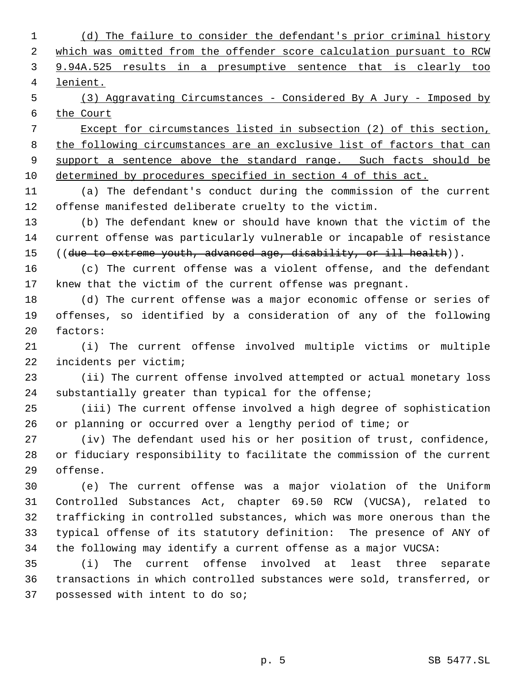(d) The failure to consider the defendant's prior criminal history which was omitted from the offender score calculation pursuant to RCW 9.94A.525 results in a presumptive sentence that is clearly too lenient.

 (3) Aggravating Circumstances - Considered By A Jury - Imposed by the Court

 Except for circumstances listed in subsection (2) of this section, 8 the following circumstances are an exclusive list of factors that can 9 support a sentence above the standard range. Such facts should be determined by procedures specified in section 4 of this act.

 (a) The defendant's conduct during the commission of the current offense manifested deliberate cruelty to the victim.

 (b) The defendant knew or should have known that the victim of the current offense was particularly vulnerable or incapable of resistance 15 ((due to extreme youth, advanced age, disability, or ill health)).

 (c) The current offense was a violent offense, and the defendant knew that the victim of the current offense was pregnant.

 (d) The current offense was a major economic offense or series of offenses, so identified by a consideration of any of the following factors:

 (i) The current offense involved multiple victims or multiple incidents per victim;

 (ii) The current offense involved attempted or actual monetary loss substantially greater than typical for the offense;

 (iii) The current offense involved a high degree of sophistication or planning or occurred over a lengthy period of time; or

 (iv) The defendant used his or her position of trust, confidence, or fiduciary responsibility to facilitate the commission of the current offense.

 (e) The current offense was a major violation of the Uniform Controlled Substances Act, chapter 69.50 RCW (VUCSA), related to trafficking in controlled substances, which was more onerous than the typical offense of its statutory definition: The presence of ANY of the following may identify a current offense as a major VUCSA:

 (i) The current offense involved at least three separate transactions in which controlled substances were sold, transferred, or possessed with intent to do so;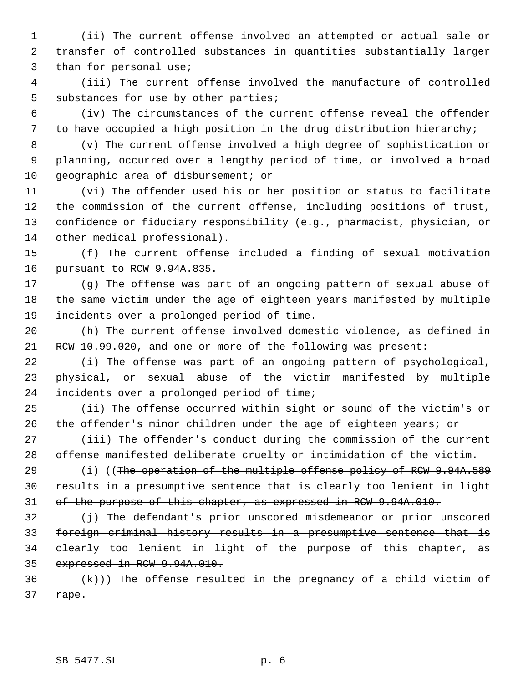(ii) The current offense involved an attempted or actual sale or transfer of controlled substances in quantities substantially larger than for personal use;

 (iii) The current offense involved the manufacture of controlled substances for use by other parties;

 (iv) The circumstances of the current offense reveal the offender to have occupied a high position in the drug distribution hierarchy;

 (v) The current offense involved a high degree of sophistication or planning, occurred over a lengthy period of time, or involved a broad geographic area of disbursement; or

 (vi) The offender used his or her position or status to facilitate the commission of the current offense, including positions of trust, confidence or fiduciary responsibility (e.g., pharmacist, physician, or other medical professional).

 (f) The current offense included a finding of sexual motivation pursuant to RCW 9.94A.835.

 (g) The offense was part of an ongoing pattern of sexual abuse of the same victim under the age of eighteen years manifested by multiple incidents over a prolonged period of time.

 (h) The current offense involved domestic violence, as defined in RCW 10.99.020, and one or more of the following was present:

 (i) The offense was part of an ongoing pattern of psychological, physical, or sexual abuse of the victim manifested by multiple incidents over a prolonged period of time;

 (ii) The offense occurred within sight or sound of the victim's or 26 the offender's minor children under the age of eighteen years; or

 (iii) The offender's conduct during the commission of the current offense manifested deliberate cruelty or intimidation of the victim.

29 (i) ((The operation of the multiple offense policy of RCW 9.94A.589 results in a presumptive sentence that is clearly too lenient in light of the purpose of this chapter, as expressed in RCW 9.94A.010.

 (i) The defendant's prior unscored misdemeanor or prior unscored foreign criminal history results in a presumptive sentence that is clearly too lenient in light of the purpose of this chapter, as expressed in RCW 9.94A.010.

36  $(k)$ )) The offense resulted in the pregnancy of a child victim of rape.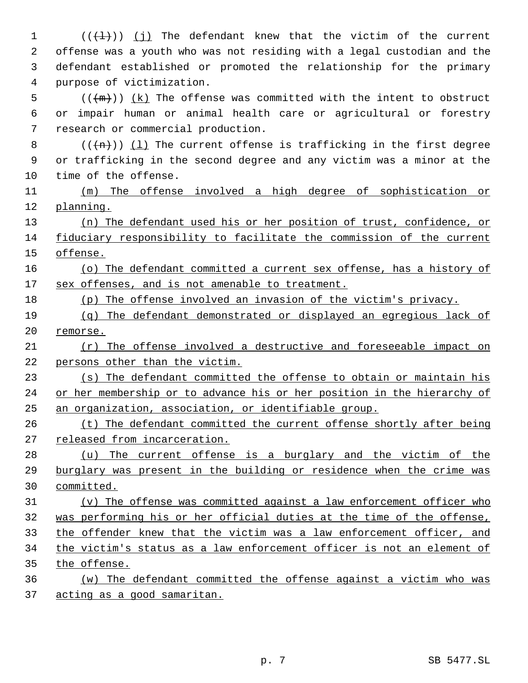$((\{\pm\})$  (j) The defendant knew that the victim of the current offense was a youth who was not residing with a legal custodian and the defendant established or promoted the relationship for the primary purpose of victimization. (( $(m)$ ))  $(k)$  The offense was committed with the intent to obstruct or impair human or animal health care or agricultural or forestry research or commercial production.  $((+)+)$  (1) The current offense is trafficking in the first degree or trafficking in the second degree and any victim was a minor at the time of the offense. (m) The offense involved a high degree of sophistication or planning. (n) The defendant used his or her position of trust, confidence, or fiduciary responsibility to facilitate the commission of the current offense. (o) The defendant committed a current sex offense, has a history of 17 sex offenses, and is not amenable to treatment. (p) The offense involved an invasion of the victim's privacy. (q) The defendant demonstrated or displayed an egregious lack of remorse. (r) The offense involved a destructive and foreseeable impact on persons other than the victim. (s) The defendant committed the offense to obtain or maintain his 24 or her membership or to advance his or her position in the hierarchy of an organization, association, or identifiable group. (t) The defendant committed the current offense shortly after being released from incarceration. 28 (u) The current offense is a burglary and the victim of the burglary was present in the building or residence when the crime was committed. (v) The offense was committed against a law enforcement officer who was performing his or her official duties at the time of the offense, the offender knew that the victim was a law enforcement officer, and the victim's status as a law enforcement officer is not an element of the offense. (w) The defendant committed the offense against a victim who was acting as a good samaritan.

p. 7 SB 5477.SL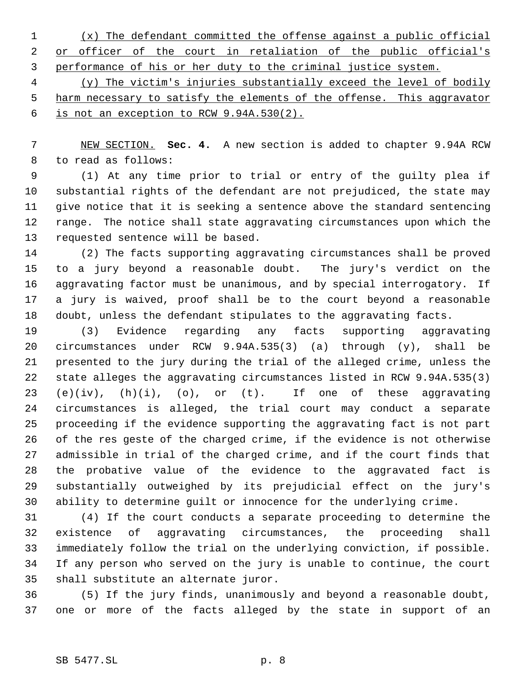(x) The defendant committed the offense against a public official 2 or officer of the court in retaliation of the public official's performance of his or her duty to the criminal justice system.

 (y) The victim's injuries substantially exceed the level of bodily 5 harm necessary to satisfy the elements of the offense. This aggravator is not an exception to RCW 9.94A.530(2).

 NEW SECTION. **Sec. 4.** A new section is added to chapter 9.94A RCW to read as follows:

 (1) At any time prior to trial or entry of the guilty plea if substantial rights of the defendant are not prejudiced, the state may give notice that it is seeking a sentence above the standard sentencing range. The notice shall state aggravating circumstances upon which the requested sentence will be based.

 (2) The facts supporting aggravating circumstances shall be proved to a jury beyond a reasonable doubt. The jury's verdict on the aggravating factor must be unanimous, and by special interrogatory. If a jury is waived, proof shall be to the court beyond a reasonable doubt, unless the defendant stipulates to the aggravating facts.

 (3) Evidence regarding any facts supporting aggravating circumstances under RCW 9.94A.535(3) (a) through (y), shall be presented to the jury during the trial of the alleged crime, unless the state alleges the aggravating circumstances listed in RCW 9.94A.535(3) (e)(iv), (h)(i), (o), or (t). If one of these aggravating circumstances is alleged, the trial court may conduct a separate proceeding if the evidence supporting the aggravating fact is not part of the res geste of the charged crime, if the evidence is not otherwise admissible in trial of the charged crime, and if the court finds that the probative value of the evidence to the aggravated fact is substantially outweighed by its prejudicial effect on the jury's ability to determine guilt or innocence for the underlying crime.

 (4) If the court conducts a separate proceeding to determine the existence of aggravating circumstances, the proceeding shall immediately follow the trial on the underlying conviction, if possible. If any person who served on the jury is unable to continue, the court shall substitute an alternate juror.

 (5) If the jury finds, unanimously and beyond a reasonable doubt, one or more of the facts alleged by the state in support of an